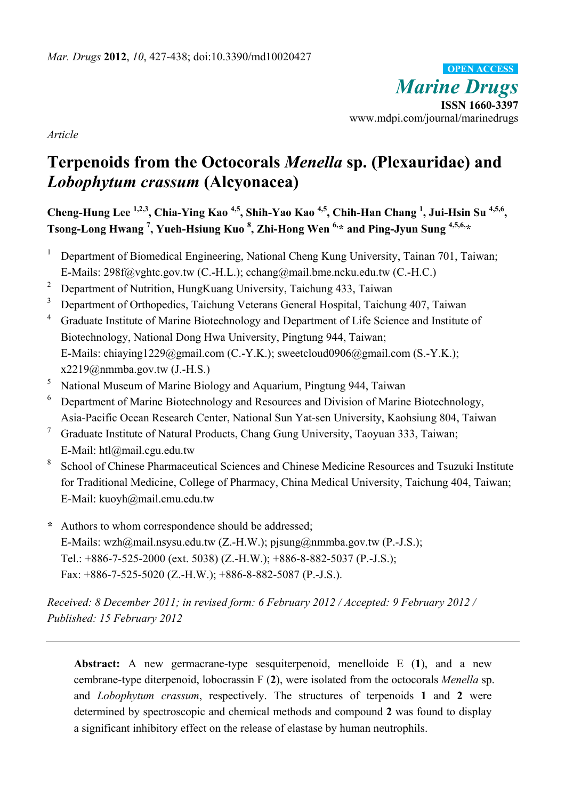*Marine Drugs* **ISSN 1660-3397**  www.mdpi.com/journal/marinedrugs **OPEN ACCESS**

*Article* 

# **Terpenoids from the Octocorals** *Menella* **sp. (Plexauridae) and**  *Lobophytum crassum* **(Alcyonacea)**

**Cheng-Hung Lee 1,2,3, Chia-Ying Kao 4,5, Shih-Yao Kao 4,5, Chih-Han Chang 1 , Jui-Hsin Su 4,5,6, Tsong-Long Hwang 7 , Yueh-Hsiung Kuo <sup>8</sup> , Zhi-Hong Wen 6,\* and Ping-Jyun Sung 4,5,6,\*** 

- <sup>1</sup> Department of Biomedical Engineering, National Cheng Kung University, Tainan 701, Taiwan; E-Mails: 298f@vghtc.gov.tw (C.-H.L.); cchang@mail.bme.ncku.edu.tw (C.-H.C.)
- <sup>2</sup> Department of Nutrition, HungKuang University, Taichung 433, Taiwan
- <sup>3</sup> Department of Orthopedics, Taichung Veterans General Hospital, Taichung 407, Taiwan
- 4 Graduate Institute of Marine Biotechnology and Department of Life Science and Institute of Biotechnology, National Dong Hwa University, Pingtung 944, Taiwan; E-Mails: chiaying1229@gmail.com (C.-Y.K.); sweetcloud0906@gmail.com (S.-Y.K.);  $x2219@nmmba.gov.tw (J.-H.S.)$
- 5 National Museum of Marine Biology and Aquarium, Pingtung 944, Taiwan
- 6 Department of Marine Biotechnology and Resources and Division of Marine Biotechnology, Asia-Pacific Ocean Research Center, National Sun Yat-sen University, Kaohsiung 804, Taiwan
- 7 Graduate Institute of Natural Products, Chang Gung University, Taoyuan 333, Taiwan; E-Mail: htl@mail.cgu.edu.tw
- 8 School of Chinese Pharmaceutical Sciences and Chinese Medicine Resources and Tsuzuki Institute for Traditional Medicine, College of Pharmacy, China Medical University, Taichung 404, Taiwan; E-Mail: kuoyh@mail.cmu.edu.tw
- **\*** Authors to whom correspondence should be addressed; E-Mails: wzh@mail.nsysu.edu.tw (Z.-H.W.); pjsung@nmmba.gov.tw (P.-J.S.); Tel.: +886-7-525-2000 (ext. 5038) (Z.-H.W.); +886-8-882-5037 (P.-J.S.); Fax: +886-7-525-5020 (Z.-H.W.); +886-8-882-5087 (P.-J.S.).

*Received: 8 December 2011; in revised form: 6 February 2012 / Accepted: 9 February 2012 / Published: 15 February 2012* 

**Abstract:** A new germacrane-type sesquiterpenoid, menelloide E (**1**), and a new cembrane-type diterpenoid, lobocrassin F (**2**), were isolated from the octocorals *Menella* sp. and *Lobophytum crassum*, respectively. The structures of terpenoids **1** and **2** were determined by spectroscopic and chemical methods and compound **2** was found to display a significant inhibitory effect on the release of elastase by human neutrophils.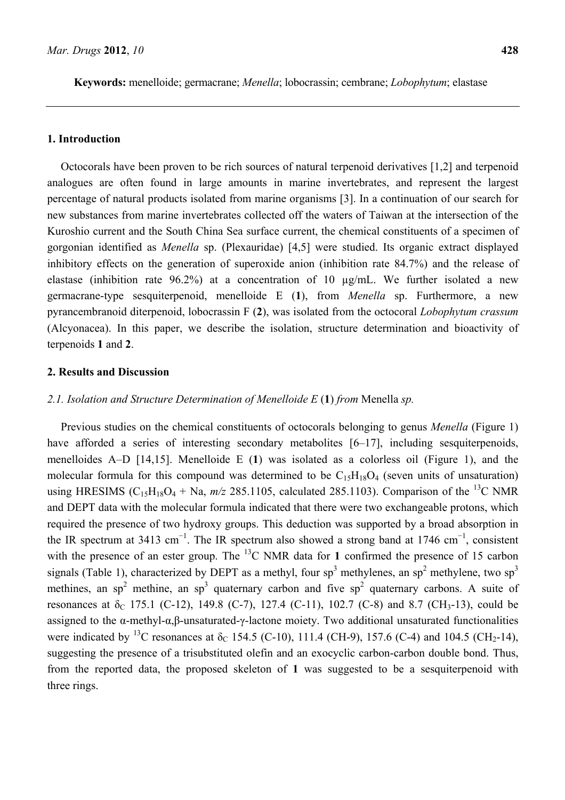**Keywords:** menelloide; germacrane; *Menella*; lobocrassin; cembrane; *Lobophytum*; elastase

#### **1. Introduction**

Octocorals have been proven to be rich sources of natural terpenoid derivatives [1,2] and terpenoid analogues are often found in large amounts in marine invertebrates, and represent the largest percentage of natural products isolated from marine organisms [3]. In a continuation of our search for new substances from marine invertebrates collected off the waters of Taiwan at the intersection of the Kuroshio current and the South China Sea surface current, the chemical constituents of a specimen of gorgonian identified as *Menella* sp. (Plexauridae) [4,5] were studied. Its organic extract displayed inhibitory effects on the generation of superoxide anion (inhibition rate 84.7%) and the release of elastase (inhibition rate 96.2%) at a concentration of 10 µg/mL. We further isolated a new germacrane-type sesquiterpenoid, menelloide E (**1**), from *Menella* sp. Furthermore, a new pyrancembranoid diterpenoid, lobocrassin F (**2**), was isolated from the octocoral *Lobophytum crassum* (Alcyonacea). In this paper, we describe the isolation, structure determination and bioactivity of terpenoids **1** and **2**.

# **2. Results and Discussion**

#### *2.1. Isolation and Structure Determination of Menelloide E* (**1**) *from* Menella *sp.*

Previous studies on the chemical constituents of octocorals belonging to genus *Menella* (Figure 1) have afforded a series of interesting secondary metabolites [6–17], including sesquiterpenoids, menelloides A–D [14,15]. Menelloide E (**1**) was isolated as a colorless oil (Figure 1), and the molecular formula for this compound was determined to be  $C_{15}H_{18}O_4$  (seven units of unsaturation) using HRESIMS ( $C_{15}H_{18}O_4$  + Na,  $m/z$  285.1105, calculated 285.1103). Comparison of the <sup>13</sup>C NMR and DEPT data with the molecular formula indicated that there were two exchangeable protons, which required the presence of two hydroxy groups. This deduction was supported by a broad absorption in the IR spectrum at 3413 cm<sup>-1</sup>. The IR spectrum also showed a strong band at 1746 cm<sup>-1</sup>, consistent with the presence of an ester group. The <sup>13</sup>C NMR data for 1 confirmed the presence of 15 carbon signals (Table 1), characterized by DEPT as a methyl, four sp<sup>3</sup> methylenes, an sp<sup>2</sup> methylene, two sp<sup>3</sup> methines, an sp<sup>2</sup> methine, an sp<sup>3</sup> quaternary carbon and five sp<sup>2</sup> quaternary carbons. A suite of resonances at  $\delta_c$  175.1 (C-12), 149.8 (C-7), 127.4 (C-11), 102.7 (C-8) and 8.7 (CH<sub>3</sub>-13), could be assigned to the α-methyl-α,β-unsaturated-γ-lactone moiety. Two additional unsaturated functionalities were indicated by <sup>13</sup>C resonances at  $\delta_c$  154.5 (C-10), 111.4 (CH-9), 157.6 (C-4) and 104.5 (CH<sub>2</sub>-14), suggesting the presence of a trisubstituted olefin and an exocyclic carbon-carbon double bond. Thus, from the reported data, the proposed skeleton of **1** was suggested to be a sesquiterpenoid with three rings.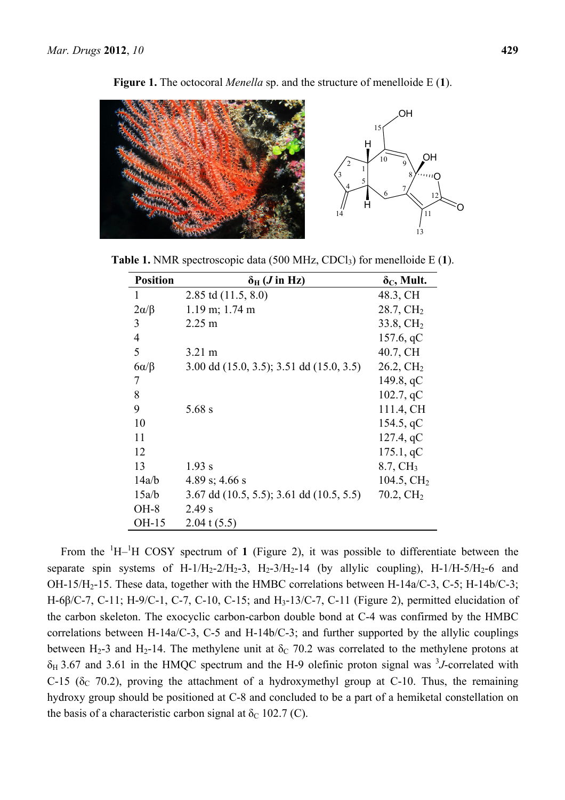

**Figure 1.** The octocoral *Menella* sp. and the structure of menelloide E (**1**).

**Table 1.** NMR spectroscopic data (500 MHz, CDCl<sub>3</sub>) for menelloide E (1).

| <b>Position</b> | $\delta_{\rm H}$ ( <i>J</i> in Hz)            | $\delta_{\rm C}$ , Mult. |
|-----------------|-----------------------------------------------|--------------------------|
| 1               | 2.85 td $(11.5, 8.0)$                         | 48.3, CH                 |
| $2\alpha/\beta$ | $1.19$ m; $1.74$ m                            | $28.7, \mathrm{CH}_2$    |
| 3               | $2.25 \text{ m}$                              | $33.8, \mathrm{CH}_2$    |
| $\overline{4}$  |                                               | 157.6, qC                |
| 5               | $3.21 \text{ m}$                              | 40.7, CH                 |
| $6\alpha/\beta$ | 3.00 dd $(15.0, 3.5)$ ; 3.51 dd $(15.0, 3.5)$ | $26.2, \mathrm{CH}_2$    |
| 7               |                                               | 149.8, $qC$              |
| 8               |                                               | 102.7, qC                |
| 9               | $5.68$ s                                      | 111.4, CH                |
| 10              |                                               | 154.5, $qC$              |
| 11              |                                               | 127.4, qC                |
| 12              |                                               | 175.1, qC                |
| 13              | 1.93 s                                        | $8.7, \mathrm{CH}_3$     |
| 14a/b           | 4.89 s; 4.66 s                                | 104.5, $CH2$             |
| 15a/b           | 3.67 dd $(10.5, 5.5)$ ; 3.61 dd $(10.5, 5.5)$ | $70.2, \mathrm{CH}_2$    |
| $OH-8$          | 2.49 s                                        |                          |
| OH-15           | $2.04$ t $(5.5)$                              |                          |

From the  ${}^{1}H-{}^{1}H$  COSY spectrum of 1 (Figure 2), it was possible to differentiate between the separate spin systems of H-1/H<sub>2</sub>-2/H<sub>2</sub>-3, H<sub>2</sub>-3/H<sub>2</sub>-14 (by allylic coupling), H-1/H-5/H<sub>2</sub>-6 and OH-15/H2-15. These data, together with the HMBC correlations between H-14a/C-3, C-5; H-14b/C-3; H-6β/C-7, C-11; H-9/C-1, C-7, C-10, C-15; and H3-13/C-7, C-11 (Figure 2), permitted elucidation of the carbon skeleton. The exocyclic carbon-carbon double bond at C-4 was confirmed by the HMBC correlations between H-14a/C-3, C-5 and H-14b/C-3; and further supported by the allylic couplings between H<sub>2</sub>-3 and H<sub>2</sub>-14. The methylene unit at  $\delta$ <sub>C</sub> 70.2 was correlated to the methylene protons at  $\delta_H$  3.67 and 3.61 in the HMQC spectrum and the H-9 olefinic proton signal was <sup>3</sup>J-correlated with C-15 ( $\delta$ <sub>C</sub> 70.2), proving the attachment of a hydroxymethyl group at C-10. Thus, the remaining hydroxy group should be positioned at C-8 and concluded to be a part of a hemiketal constellation on the basis of a characteristic carbon signal at  $\delta_c$  102.7 (C).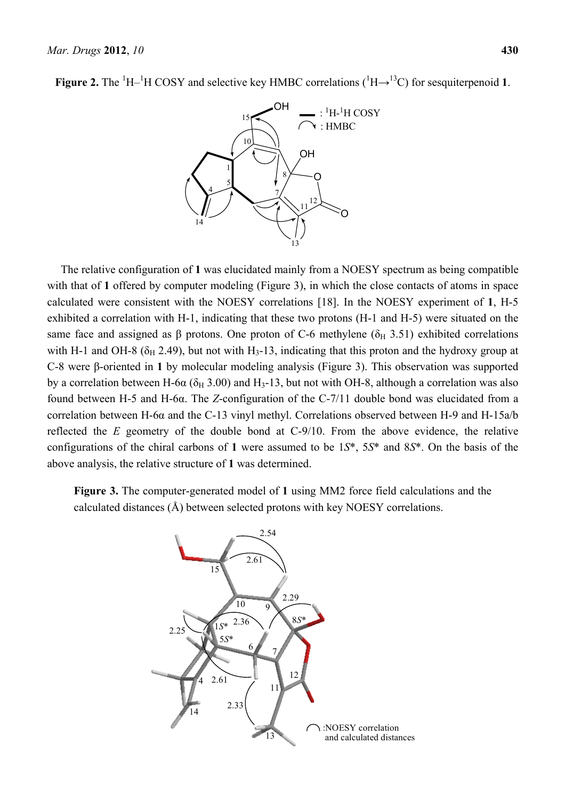**Figure 2.** The  ${}^{1}H-{}^{1}H$  COSY and selective key HMBC correlations ( ${}^{1}H\rightarrow {}^{13}C$ ) for sesquiterpenoid 1.



The relative configuration of **1** was elucidated mainly from a NOESY spectrum as being compatible with that of 1 offered by computer modeling (Figure 3), in which the close contacts of atoms in space calculated were consistent with the NOESY correlations [18]. In the NOESY experiment of **1**, H-5 exhibited a correlation with H-1, indicating that these two protons (H-1 and H-5) were situated on the same face and assigned as β protons. One proton of C-6 methylene ( $\delta$ <sub>H</sub> 3.51) exhibited correlations with H-1 and OH-8 ( $\delta_H$  2.49), but not with H<sub>3</sub>-13, indicating that this proton and the hydroxy group at C-8 were β-oriented in **1** by molecular modeling analysis (Figure 3). This observation was supported by a correlation between H-6 $\alpha$  ( $\delta_H$  3.00) and H<sub>3</sub>-13, but not with OH-8, although a correlation was also found between H-5 and H-6α. The *Z*-configuration of the C-7/11 double bond was elucidated from a correlation between H-6α and the C-13 vinyl methyl. Correlations observed between H-9 and H-15a/b reflected the *E* geometry of the double bond at C-9/10. From the above evidence, the relative configurations of the chiral carbons of **1** were assumed to be 1*S*\*, 5*S*\* and 8*S*\*. On the basis of the above analysis, the relative structure of **1** was determined.

**Figure 3.** The computer-generated model of **1** using MM2 force field calculations and the calculated distances (Å) between selected protons with key NOESY correlations.

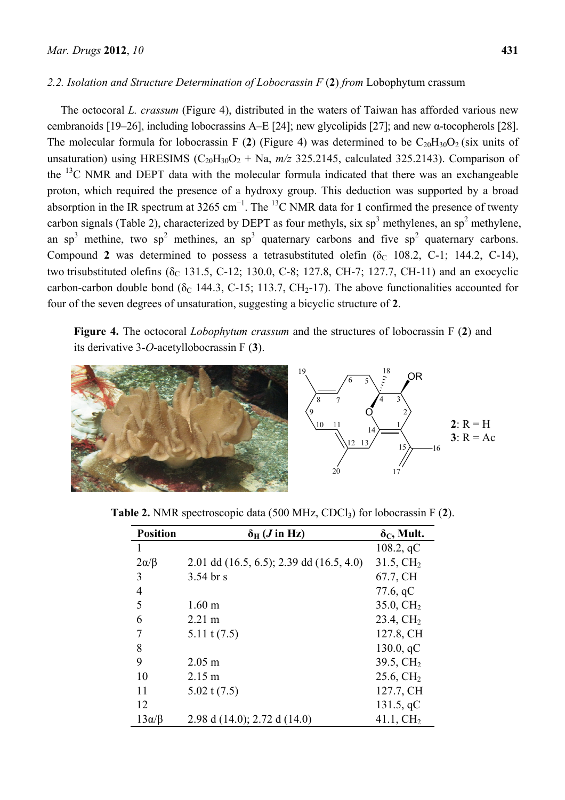# *2.2. Isolation and Structure Determination of Lobocrassin F* (**2**) *from* Lobophytum crassum

The octocoral *L. crassum* (Figure 4), distributed in the waters of Taiwan has afforded various new cembranoids [19–26], including lobocrassins A–E [24]; new glycolipids [27]; and new α-tocopherols [28]. The molecular formula for lobocrassin F (2) (Figure 4) was determined to be  $C_{20}H_{30}O_2$  (six units of unsaturation) using HRESIMS  $(C_{20}H_{30}O_2 + Na$ ,  $m/z$  325.2145, calculated 325.2143). Comparison of the  $^{13}$ C NMR and DEPT data with the molecular formula indicated that there was an exchangeable proton, which required the presence of a hydroxy group. This deduction was supported by a broad absorption in the IR spectrum at 3265 cm<sup>-1</sup>. The <sup>13</sup>C NMR data for 1 confirmed the presence of twenty carbon signals (Table 2), characterized by DEPT as four methyls, six  $sp<sup>3</sup>$  methylenes, an  $sp<sup>2</sup>$  methylene, an sp<sup>3</sup> methine, two sp<sup>2</sup> methines, an sp<sup>3</sup> quaternary carbons and five sp<sup>2</sup> quaternary carbons. Compound **2** was determined to possess a tetrasubstituted olefin ( $\delta$ <sup>C</sup> 108.2, C-1; 144.2, C-14), two trisubstituted olefins ( $\delta_c$  131.5, C-12; 130.0, C-8; 127.8, CH-7; 127.7, CH-11) and an exocyclic carbon-carbon double bond ( $\delta_c$  144.3, C-15; 113.7, CH<sub>2</sub>-17). The above functionalities accounted for four of the seven degrees of unsaturation, suggesting a bicyclic structure of **2**.

**Figure 4.** The octocoral *Lobophytum crassum* and the structures of lobocrassin F (**2**) and its derivative 3-*O*-acetyllobocrassin F (**3**).



| <b>Position</b>  | $\delta_{\rm H}$ ( <i>J</i> in Hz)            | $\delta_{C}$ , Mult.  |
|------------------|-----------------------------------------------|-----------------------|
| 1                |                                               | 108.2, qC             |
| $2\alpha/\beta$  | 2.01 dd $(16.5, 6.5)$ ; 2.39 dd $(16.5, 4.0)$ | $31.5, \mathrm{CH}_2$ |
| 3                | $3.54$ br s                                   | 67.7, CH              |
| 4                |                                               | 77.6, $qC$            |
| 5                | 1.60 <sub>m</sub>                             | $35.0, \mathrm{CH}_2$ |
| 6                | $2.21 \text{ m}$                              | $23.4, \mathrm{CH}_2$ |
| 7                | $5.11$ t $(7.5)$                              | 127.8, CH             |
| 8                |                                               | 130.0, qC             |
| 9                | $2.05 \text{ m}$                              | 39.5, $CH2$           |
| 10               | $2.15 \text{ m}$                              | $25.6, \mathrm{CH}_2$ |
| 11               | $5.02$ t $(7.5)$                              | 127.7, CH             |
| 12               |                                               | 131.5, qC             |
| $13\alpha/\beta$ | 2.98 d $(14.0)$ ; 2.72 d $(14.0)$             | 41.1, $CH2$           |

**Table 2.** NMR spectroscopic data (500 MHz, CDCl3) for lobocrassin F (**2**).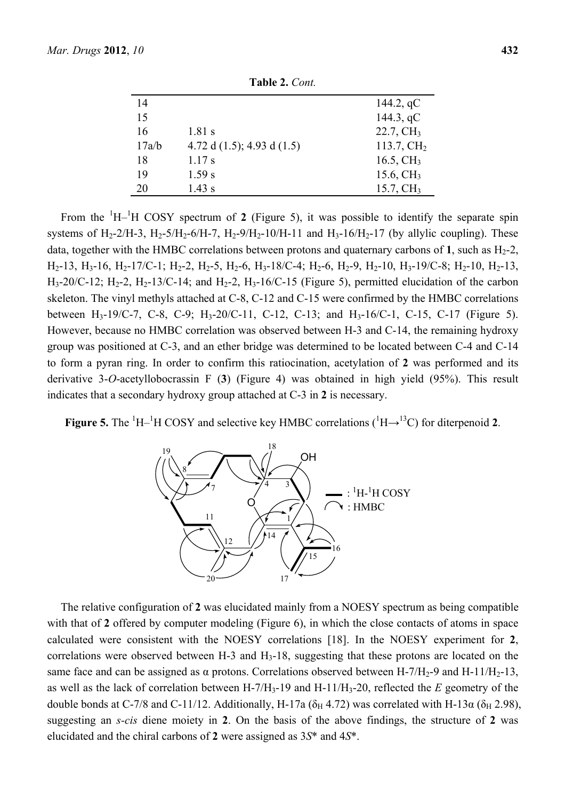|       | $\blacksquare$ and $\blacksquare$ . $\cup$ $\cup$ if $\blacksquare$ |                       |
|-------|---------------------------------------------------------------------|-----------------------|
| 14    |                                                                     | 144.2, $qC$           |
| 15    |                                                                     | 144.3, $qC$           |
| 16    | $1.81$ s                                                            | $22.7, \mathrm{CH}_3$ |
| 17a/b | 4.72 d $(1.5)$ ; 4.93 d $(1.5)$                                     | 113.7, $CH2$          |
| 18    | $1.17$ s                                                            | 16.5, $CH3$           |
| 19    | 1.59 s                                                              | 15.6, $CH3$           |
| 20    | $1.43$ s                                                            | $15.7, \mathrm{CH}_3$ |

**Table 2.** *Cont.*

From the  ${}^{1}H-{}^{1}H$  COSY spectrum of 2 (Figure 5), it was possible to identify the separate spin systems of H<sub>2</sub>-2/H-3, H<sub>2</sub>-5/H<sub>2</sub>-6/H-7, H<sub>2</sub>-9/H<sub>2</sub>-10/H-11 and H<sub>3</sub>-16/H<sub>2</sub>-17 (by allylic coupling). These data, together with the HMBC correlations between protons and quaternary carbons of 1, such as  $H_2-2$ ,  $H_2-13$ ,  $H_3-16$ ,  $H_2-17/C-1$ ;  $H_2-2$ ,  $H_2-5$ ,  $H_2-6$ ,  $H_3-18/C-4$ ;  $H_2-6$ ,  $H_2-9$ ,  $H_2-10$ ,  $H_3-19/C-8$ ;  $H_2-10$ ,  $H_2-13$ ,  $H_3$ -20/C-12;  $H_2$ -2,  $H_2$ -13/C-14; and  $H_2$ -2,  $H_3$ -16/C-15 (Figure 5), permitted elucidation of the carbon skeleton. The vinyl methyls attached at C-8, C-12 and C-15 were confirmed by the HMBC correlations between H<sub>3</sub>-19/C-7, C-8, C-9; H<sub>3</sub>-20/C-11, C-12, C-13; and H<sub>3</sub>-16/C-1, C-15, C-17 (Figure 5). However, because no HMBC correlation was observed between H-3 and C-14, the remaining hydroxy group was positioned at C-3, and an ether bridge was determined to be located between C-4 and C-14 to form a pyran ring. In order to confirm this ratiocination, acetylation of **2** was performed and its derivative 3-*O*-acetyllobocrassin F (**3**) (Figure 4) was obtained in high yield (95%). This result indicates that a secondary hydroxy group attached at C-3 in **2** is necessary.

**Figure 5.** The  ${}^{1}H-{}^{1}H$  COSY and selective key HMBC correlations ( ${}^{1}H\rightarrow {}^{13}C$ ) for diterpenoid 2.



The relative configuration of **2** was elucidated mainly from a NOESY spectrum as being compatible with that of 2 offered by computer modeling (Figure 6), in which the close contacts of atoms in space calculated were consistent with the NOESY correlations [18]. In the NOESY experiment for **2**, correlations were observed between H-3 and  $H_3$ -18, suggesting that these protons are located on the same face and can be assigned as  $\alpha$  protons. Correlations observed between H-7/H<sub>2</sub>-9 and H-11/H<sub>2</sub>-13, as well as the lack of correlation between H-7/H3-19 and H-11/H3-20, reflected the *E* geometry of the double bonds at C-7/8 and C-11/12. Additionally, H-17a ( $\delta_H$  4.72) was correlated with H-13 $\alpha$  ( $\delta_H$  2.98), suggesting an *s-cis* diene moiety in **2**. On the basis of the above findings, the structure of **2** was elucidated and the chiral carbons of **2** were assigned as 3*S*\* and 4*S*\*.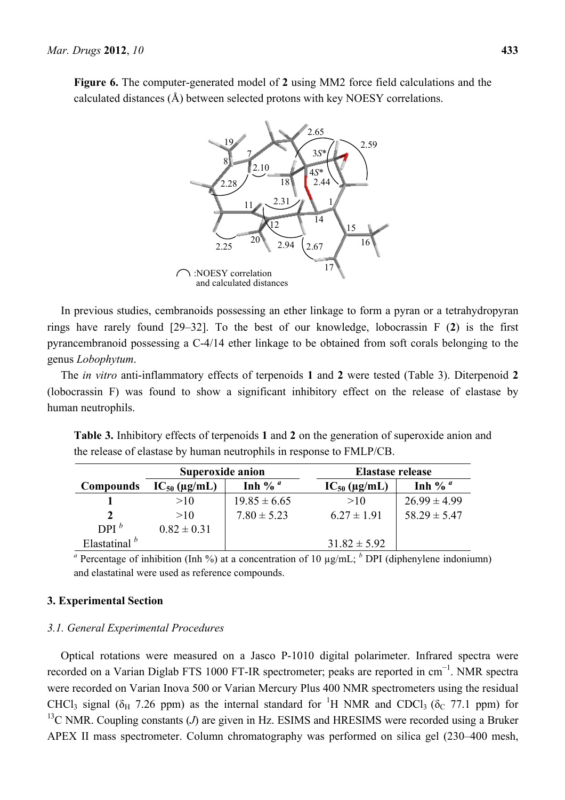**Figure 6.** The computer-generated model of **2** using MM2 force field calculations and the calculated distances (Å) between selected protons with key NOESY correlations.



In previous studies, cembranoids possessing an ether linkage to form a pyran or a tetrahydropyran rings have rarely found [29–32]. To the best of our knowledge, lobocrassin F (**2**) is the first pyrancembranoid possessing a C-4/14 ether linkage to be obtained from soft corals belonging to the genus *Lobophytum*.

The *in vitro* anti-inflammatory effects of terpenoids **1** and **2** were tested (Table 3). Diterpenoid **2** (lobocrassin F) was found to show a significant inhibitory effect on the release of elastase by human neutrophils.

**Table 3.** Inhibitory effects of terpenoids **1** and **2** on the generation of superoxide anion and the release of elastase by human neutrophils in response to FMLP/CB.

|                  | Superoxide anion  |                  | Elastase release        |                  |
|------------------|-------------------|------------------|-------------------------|------------------|
| <b>Compounds</b> | $IC_{50}$ (µg/mL) | Inh % $^a$       | $IC_{50}$ ( $\mu$ g/mL) | Inh % $^a$       |
|                  | >10               | $19.85 \pm 6.65$ | >10                     | $26.99 \pm 4.99$ |
|                  | >10               | $7.80 \pm 5.23$  | $6.27 \pm 1.91$         | $58.29 \pm 5.47$ |
| $DPI^b$          | $0.82 \pm 0.31$   |                  |                         |                  |
| Elastatinal $b$  |                   |                  | $31.82 \pm 5.92$        |                  |

<sup>*a*</sup> Percentage of inhibition (Inh %) at a concentration of 10  $\mu$ g/mL; <sup>*b*</sup> DPI (diphenylene indoniumn) and elastatinal were used as reference compounds.

## **3. Experimental Section**

#### *3.1. General Experimental Procedures*

Optical rotations were measured on a Jasco P-1010 digital polarimeter. Infrared spectra were recorded on a Varian Diglab FTS 1000 FT-IR spectrometer; peaks are reported in cm<sup>-1</sup>. NMR spectra were recorded on Varian Inova 500 or Varian Mercury Plus 400 NMR spectrometers using the residual CHCl<sub>3</sub> signal ( $\delta_H$  7.26 ppm) as the internal standard for <sup>1</sup>H NMR and CDCl<sub>3</sub> ( $\delta_C$  77.1 ppm) for <sup>13</sup>C NMR. Coupling constants (*J*) are given in Hz. ESIMS and HRESIMS were recorded using a Bruker APEX II mass spectrometer. Column chromatography was performed on silica gel (230–400 mesh,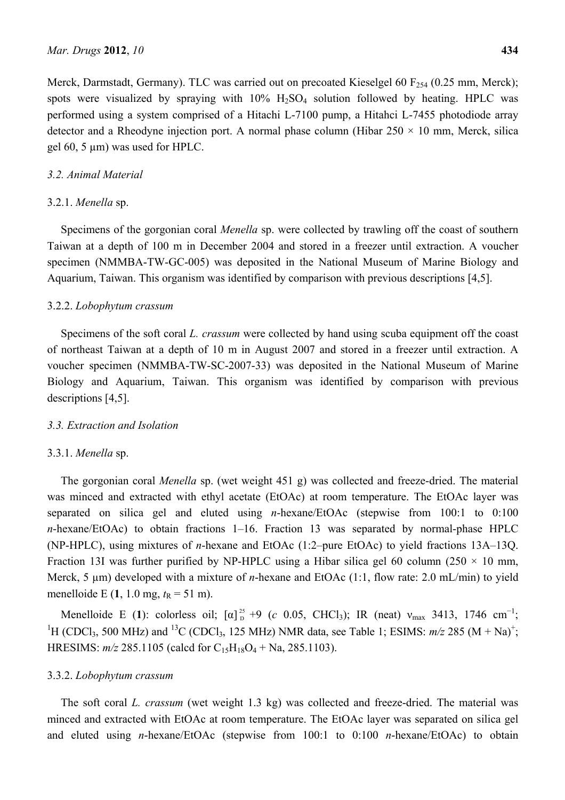Merck, Darmstadt, Germany). TLC was carried out on precoated Kieselgel 60  $F_{254}$  (0.25 mm, Merck); spots were visualized by spraying with  $10\%$   $H_2SO_4$  solution followed by heating. HPLC was performed using a system comprised of a Hitachi L-7100 pump, a Hitahci L-7455 photodiode array detector and a Rheodyne injection port. A normal phase column (Hibar  $250 \times 10$  mm, Merck, silica gel 60, 5 µm) was used for HPLC.

## *3.2. Animal Material*

## 3.2.1. *Menella* sp.

Specimens of the gorgonian coral *Menella* sp. were collected by trawling off the coast of southern Taiwan at a depth of 100 m in December 2004 and stored in a freezer until extraction. A voucher specimen (NMMBA-TW-GC-005) was deposited in the National Museum of Marine Biology and Aquarium, Taiwan. This organism was identified by comparison with previous descriptions [4,5].

## 3.2.2. *Lobophytum crassum*

Specimens of the soft coral *L. crassum* were collected by hand using scuba equipment off the coast of northeast Taiwan at a depth of 10 m in August 2007 and stored in a freezer until extraction. A voucher specimen (NMMBA-TW-SC-2007-33) was deposited in the National Museum of Marine Biology and Aquarium, Taiwan. This organism was identified by comparison with previous descriptions [4,5].

#### *3.3. Extraction and Isolation*

#### 3.3.1. *Menella* sp.

The gorgonian coral *Menella* sp. (wet weight 451 g) was collected and freeze-dried. The material was minced and extracted with ethyl acetate (EtOAc) at room temperature. The EtOAc layer was separated on silica gel and eluted using *n*-hexane/EtOAc (stepwise from 100:1 to 0:100 *n*-hexane/EtOAc) to obtain fractions 1–16. Fraction 13 was separated by normal-phase HPLC (NP-HPLC), using mixtures of *n*-hexane and EtOAc (1:2–pure EtOAc) to yield fractions 13A–13Q. Fraction 13I was further purified by NP-HPLC using a Hibar silica gel 60 column (250  $\times$  10 mm, Merck, 5 µm) developed with a mixture of *n*-hexane and EtOAc (1:1, flow rate: 2.0 mL/min) to yield menelloide E  $(1, 1.0 \text{ mg}, t_R = 51 \text{ m})$ .

Menelloide E (1): colorless oil;  $\left[\alpha\right]_{D}^{25}$  +9 (*c* 0.05, CHCl<sub>3</sub>); IR (neat)  $v_{\text{max}}$  3413, 1746 cm<sup>-1</sup>; <sup>1</sup>H (CDCl<sub>3</sub>, 500 MHz) and <sup>13</sup>C (CDCl<sub>3</sub>, 125 MHz) NMR data, see Table 1; ESIMS:  $m/z$  285 (M + Na)<sup>+</sup>; HRESIMS:  $m/z$  285.1105 (calcd for C<sub>15</sub>H<sub>18</sub>O<sub>4</sub> + Na, 285.1103).

## 3.3.2. *Lobophytum crassum*

The soft coral *L. crassum* (wet weight 1.3 kg) was collected and freeze-dried. The material was minced and extracted with EtOAc at room temperature. The EtOAc layer was separated on silica gel and eluted using *n*-hexane/EtOAc (stepwise from 100:1 to 0:100 *n*-hexane/EtOAc) to obtain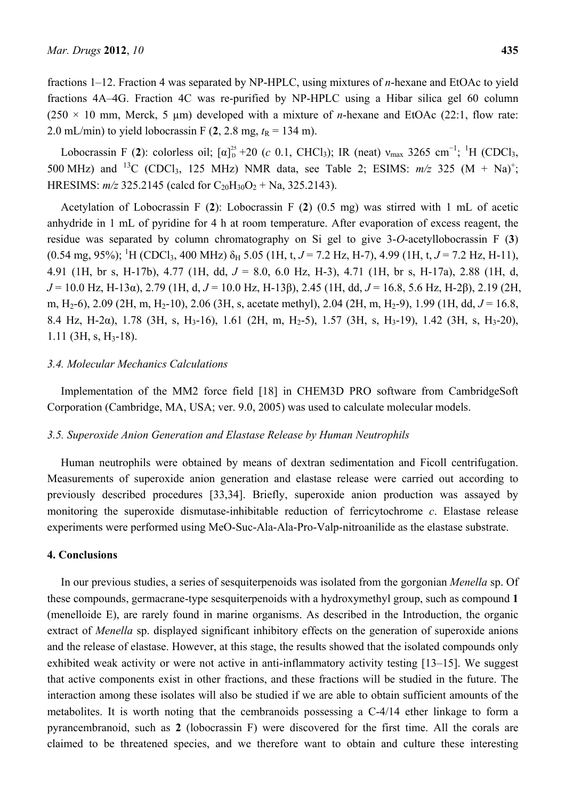fractions 1–12. Fraction 4 was separated by NP-HPLC, using mixtures of *n*-hexane and EtOAc to yield fractions 4A–4G. Fraction 4C was re-purified by NP-HPLC using a Hibar silica gel 60 column (250  $\times$  10 mm, Merck, 5 µm) developed with a mixture of *n*-hexane and EtOAc (22:1, flow rate: 2.0 mL/min) to yield lobocrassin F  $(2, 2.8$  mg,  $t<sub>R</sub> = 134$  m).

Lobocrassin F (2): colorless oil;  $[\alpha]_D^{25}$  +20 (*c* 0.1, CHCl<sub>3</sub>); IR (neat)  $v_{\text{max}}$  3265 cm<sup>-1</sup>; <sup>1</sup>H (CDCl<sub>3</sub>, 500 MHz) and <sup>13</sup>C (CDCl<sub>3</sub>, 125 MHz) NMR data, see Table 2; ESIMS:  $m/z$  325 (M + Na)<sup>+</sup>; HRESIMS:  $m/z$  325.2145 (calcd for C<sub>20</sub>H<sub>30</sub>O<sub>2</sub> + Na, 325.2143).

Acetylation of Lobocrassin F (**2**): Lobocrassin F (**2**) (0.5 mg) was stirred with 1 mL of acetic anhydride in 1 mL of pyridine for 4 h at room temperature. After evaporation of excess reagent, the residue was separated by column chromatography on Si gel to give 3-*O*-acetyllobocrassin F (**3**)  $(0.54 \text{ mg}, 95\%)$ ; <sup>1</sup>H (CDCl<sub>3</sub>, 400 MHz)  $\delta_H$  5.05 (1H, t, *J* = 7.2 Hz, H-7), 4.99 (1H, t, *J* = 7.2 Hz, H-11), 4.91 (1H, br s, H-17b), 4.77 (1H, dd, *J* = 8.0, 6.0 Hz, H-3), 4.71 (1H, br s, H-17a), 2.88 (1H, d, *J* = 10.0 Hz, H-13α), 2.79 (1H, d, *J* = 10.0 Hz, H-13β), 2.45 (1H, dd, *J* = 16.8, 5.6 Hz, H-2β), 2.19 (2H, m, H2-6), 2.09 (2H, m, H2-10), 2.06 (3H, s, acetate methyl), 2.04 (2H, m, H2-9), 1.99 (1H, dd, *J* = 16.8, 8.4 Hz, H-2α), 1.78 (3H, s, H3-16), 1.61 (2H, m, H2-5), 1.57 (3H, s, H3-19), 1.42 (3H, s, H3-20),  $1.11$  (3H, s, H<sub>3</sub>-18).

## *3.4. Molecular Mechanics Calculations*

Implementation of the MM2 force field [18] in CHEM3D PRO software from CambridgeSoft Corporation (Cambridge, MA, USA; ver. 9.0, 2005) was used to calculate molecular models.

#### *3.5. Superoxide Anion Generation and Elastase Release by Human Neutrophils*

Human neutrophils were obtained by means of dextran sedimentation and Ficoll centrifugation. Measurements of superoxide anion generation and elastase release were carried out according to previously described procedures [33,34]. Briefly, superoxide anion production was assayed by monitoring the superoxide dismutase-inhibitable reduction of ferricytochrome *c*. Elastase release experiments were performed using MeO-Suc-Ala-Ala-Pro-Valp-nitroanilide as the elastase substrate.

## **4. Conclusions**

In our previous studies, a series of sesquiterpenoids was isolated from the gorgonian *Menella* sp. Of these compounds, germacrane-type sesquiterpenoids with a hydroxymethyl group, such as compound **1**  (menelloide E), are rarely found in marine organisms. As described in the Introduction, the organic extract of *Menella* sp. displayed significant inhibitory effects on the generation of superoxide anions and the release of elastase. However, at this stage, the results showed that the isolated compounds only exhibited weak activity or were not active in anti-inflammatory activity testing [13–15]. We suggest that active components exist in other fractions, and these fractions will be studied in the future. The interaction among these isolates will also be studied if we are able to obtain sufficient amounts of the metabolites. It is worth noting that the cembranoids possessing a C-4/14 ether linkage to form a pyrancembranoid, such as **2** (lobocrassin F) were discovered for the first time. All the corals are claimed to be threatened species, and we therefore want to obtain and culture these interesting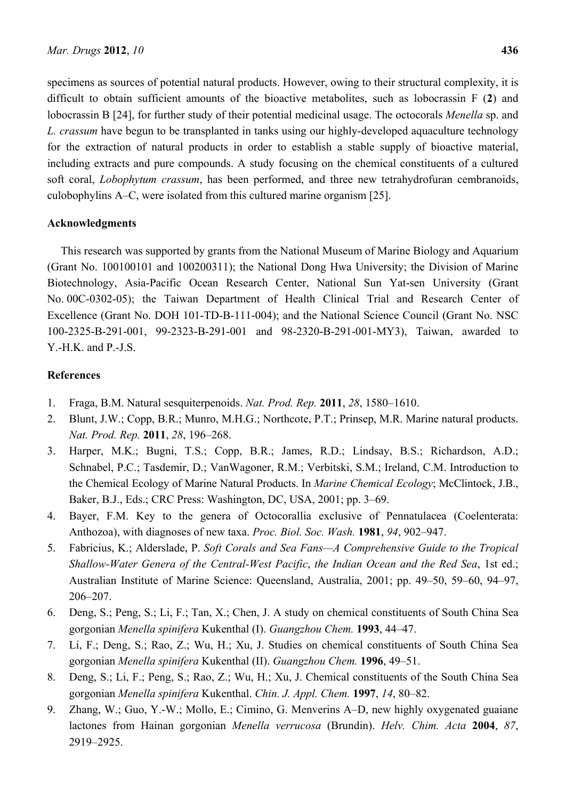specimens as sources of potential natural products. However, owing to their structural complexity, it is difficult to obtain sufficient amounts of the bioactive metabolites, such as lobocrassin F (**2**) and lobocrassin B [24], for further study of their potential medicinal usage. The octocorals *Menella* sp. and *L. crassum* have begun to be transplanted in tanks using our highly-developed aquaculture technology for the extraction of natural products in order to establish a stable supply of bioactive material, including extracts and pure compounds. A study focusing on the chemical constituents of a cultured soft coral, *Lobophytum crassum*, has been performed, and three new tetrahydrofuran cembranoids, culobophylins A–C, were isolated from this cultured marine organism [25].

# **Acknowledgments**

This research was supported by grants from the National Museum of Marine Biology and Aquarium (Grant No. 100100101 and 100200311); the National Dong Hwa University; the Division of Marine Biotechnology, Asia-Pacific Ocean Research Center, National Sun Yat-sen University (Grant No. 00C-0302-05); the Taiwan Department of Health Clinical Trial and Research Center of Excellence (Grant No. DOH 101-TD-B-111-004); and the National Science Council (Grant No. NSC 100-2325-B-291-001, 99-2323-B-291-001 and 98-2320-B-291-001-MY3), Taiwan, awarded to Y.-H.K. and P.-J.S.

# **References**

- 1. Fraga, B.M. Natural sesquiterpenoids. *Nat. Prod. Rep.* **2011**, *28*, 1580–1610.
- 2. Blunt, J.W.; Copp, B.R.; Munro, M.H.G.; Northcote, P.T.; Prinsep, M.R. Marine natural products. *Nat. Prod. Rep.* **2011**, *28*, 196–268.
- 3. Harper, M.K.; Bugni, T.S.; Copp, B.R.; James, R.D.; Lindsay, B.S.; Richardson, A.D.; Schnabel, P.C.; Tasdemir, D.; VanWagoner, R.M.; Verbitski, S.M.; Ireland, C.M. Introduction to the Chemical Ecology of Marine Natural Products. In *Marine Chemical Ecology*; McClintock, J.B., Baker, B.J., Eds.; CRC Press: Washington, DC, USA, 2001; pp. 3–69.
- 4. Bayer, F.M. Key to the genera of Octocorallia exclusive of Pennatulacea (Coelenterata: Anthozoa), with diagnoses of new taxa. *Proc. Biol. Soc. Wash.* **1981**, *94*, 902–947.
- 5. Fabricius, K.; Alderslade, P. *Soft Corals and Sea Fans—A Comprehensive Guide to the Tropical Shallow-Water Genera of the Central-West Pacific*, *the Indian Ocean and the Red Sea*, 1st ed.; Australian Institute of Marine Science: Queensland, Australia, 2001; pp. 49–50, 59–60, 94–97, 206–207.
- 6. Deng, S.; Peng, S.; Li, F.; Tan, X.; Chen, J. A study on chemical constituents of South China Sea gorgonian *Menella spinifera* Kukenthal (I). *Guangzhou Chem.* **1993**, 44–47.
- 7. Li, F.; Deng, S.; Rao, Z.; Wu, H.; Xu, J. Studies on chemical constituents of South China Sea gorgonian *Menella spinifera* Kukenthal (II). *Guangzhou Chem.* **1996**, 49–51.
- 8. Deng, S.; Li, F.; Peng, S.; Rao, Z.; Wu, H.; Xu, J. Chemical constituents of the South China Sea gorgonian *Menella spinifera* Kukenthal. *Chin. J. Appl. Chem.* **1997**, *14*, 80–82.
- 9. Zhang, W.; Guo, Y.-W.; Mollo, E.; Cimino, G. Menverins A–D, new highly oxygenated guaiane lactones from Hainan gorgonian *Menella verrucosa* (Brundin). *Helv. Chim. Acta* **2004**, *87*, 2919–2925.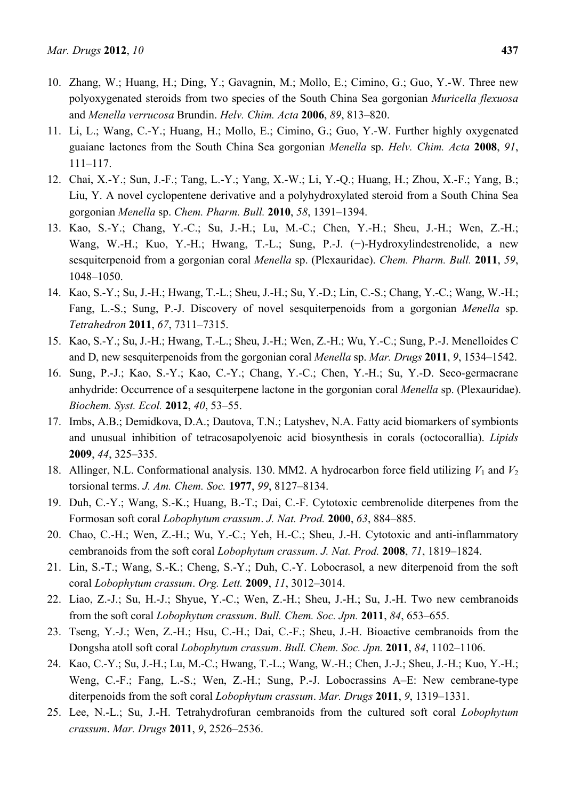- 10. Zhang, W.; Huang, H.; Ding, Y.; Gavagnin, M.; Mollo, E.; Cimino, G.; Guo, Y.-W. Three new polyoxygenated steroids from two species of the South China Sea gorgonian *Muricella flexuosa* and *Menella verrucosa* Brundin. *Helv. Chim. Acta* **2006**, *89*, 813–820.
- 11. Li, L.; Wang, C.-Y.; Huang, H.; Mollo, E.; Cimino, G.; Guo, Y.-W. Further highly oxygenated guaiane lactones from the South China Sea gorgonian *Menella* sp. *Helv. Chim. Acta* **2008**, *91*, 111–117.
- 12. Chai, X.-Y.; Sun, J.-F.; Tang, L.-Y.; Yang, X.-W.; Li, Y.-Q.; Huang, H.; Zhou, X.-F.; Yang, B.; Liu, Y. A novel cyclopentene derivative and a polyhydroxylated steroid from a South China Sea gorgonian *Menella* sp. *Chem. Pharm. Bull.* **2010**, *58*, 1391–1394.
- 13. Kao, S.-Y.; Chang, Y.-C.; Su, J.-H.; Lu, M.-C.; Chen, Y.-H.; Sheu, J.-H.; Wen, Z.-H.; Wang, W.-H.; Kuo, Y.-H.; Hwang, T.-L.; Sung, P.-J. (−)-Hydroxylindestrenolide, a new sesquiterpenoid from a gorgonian coral *Menella* sp. (Plexauridae). *Chem. Pharm. Bull.* **2011**, *59*, 1048–1050.
- 14. Kao, S.-Y.; Su, J.-H.; Hwang, T.-L.; Sheu, J.-H.; Su, Y.-D.; Lin, C.-S.; Chang, Y.-C.; Wang, W.-H.; Fang, L.-S.; Sung, P.-J. Discovery of novel sesquiterpenoids from a gorgonian *Menella* sp. *Tetrahedron* **2011**, *67*, 7311–7315.
- 15. Kao, S.-Y.; Su, J.-H.; Hwang, T.-L.; Sheu, J.-H.; Wen, Z.-H.; Wu, Y.-C.; Sung, P.-J. Menelloides C and D, new sesquiterpenoids from the gorgonian coral *Menella* sp. *Mar. Drugs* **2011**, *9*, 1534–1542.
- 16. Sung, P.-J.; Kao, S.-Y.; Kao, C.-Y.; Chang, Y.-C.; Chen, Y.-H.; Su, Y.-D. Seco-germacrane anhydride: Occurrence of a sesquiterpene lactone in the gorgonian coral *Menella* sp. (Plexauridae). *Biochem. Syst. Ecol.* **2012**, *40*, 53–55.
- 17. Imbs, A.B.; Demidkova, D.A.; Dautova, T.N.; Latyshev, N.A. Fatty acid biomarkers of symbionts and unusual inhibition of tetracosapolyenoic acid biosynthesis in corals (octocorallia). *Lipids* **2009**, *44*, 325–335.
- 18. Allinger, N.L. Conformational analysis. 130. MM2. A hydrocarbon force field utilizing  $V_1$  and  $V_2$ torsional terms. *J. Am. Chem. Soc.* **1977**, *99*, 8127–8134.
- 19. Duh, C.-Y.; Wang, S.-K.; Huang, B.-T.; Dai, C.-F. Cytotoxic cembrenolide diterpenes from the Formosan soft coral *Lobophytum crassum*. *J. Nat. Prod.* **2000**, *63*, 884–885.
- 20. Chao, C.-H.; Wen, Z.-H.; Wu, Y.-C.; Yeh, H.-C.; Sheu, J.-H. Cytotoxic and anti-inflammatory cembranoids from the soft coral *Lobophytum crassum*. *J. Nat. Prod.* **2008**, *71*, 1819–1824.
- 21. Lin, S.-T.; Wang, S.-K.; Cheng, S.-Y.; Duh, C.-Y. Lobocrasol, a new diterpenoid from the soft coral *Lobophytum crassum*. *Org. Lett.* **2009**, *11*, 3012–3014.
- 22. Liao, Z.-J.; Su, H.-J.; Shyue, Y.-C.; Wen, Z.-H.; Sheu, J.-H.; Su, J.-H. Two new cembranoids from the soft coral *Lobophytum crassum*. *Bull. Chem. Soc. Jpn.* **2011**, *84*, 653–655.
- 23. Tseng, Y.-J.; Wen, Z.-H.; Hsu, C.-H.; Dai, C.-F.; Sheu, J.-H. Bioactive cembranoids from the Dongsha atoll soft coral *Lobophytum crassum*. *Bull. Chem. Soc. Jpn.* **2011**, *84*, 1102–1106.
- 24. Kao, C.-Y.; Su, J.-H.; Lu, M.-C.; Hwang, T.-L.; Wang, W.-H.; Chen, J.-J.; Sheu, J.-H.; Kuo, Y.-H.; Weng, C.-F.; Fang, L.-S.; Wen, Z.-H.; Sung, P.-J. Lobocrassins A–E: New cembrane-type diterpenoids from the soft coral *Lobophytum crassum*. *Mar. Drugs* **2011**, *9*, 1319–1331.
- 25. Lee, N.-L.; Su, J.-H. Tetrahydrofuran cembranoids from the cultured soft coral *Lobophytum crassum*. *Mar. Drugs* **2011**, *9*, 2526–2536.